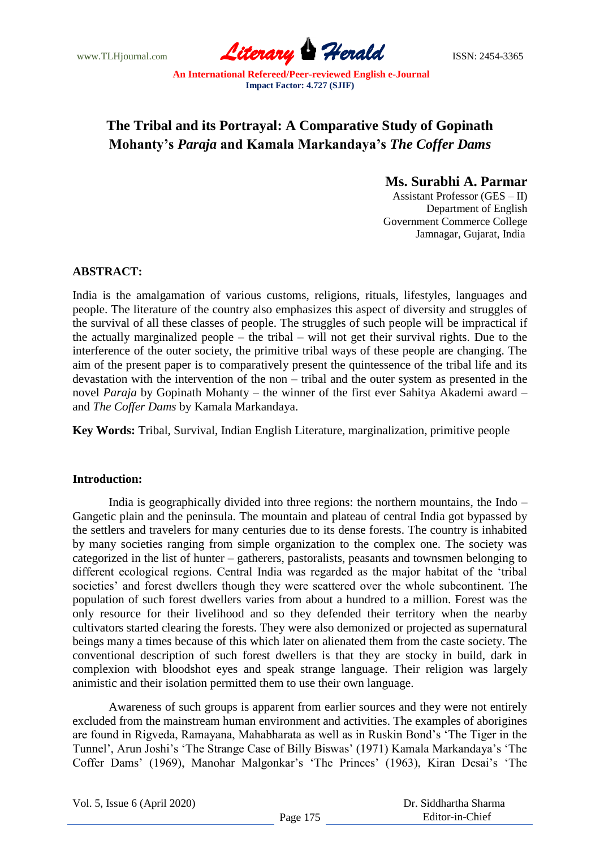www.TLHjournal.com **Literary Herald Herald ISSN: 2454-3365** 

# **The Tribal and its Portrayal: A Comparative Study of Gopinath Mohanty's** *Paraja* **and Kamala Markandaya's** *The Coffer Dams*

# **Ms. Surabhi A. Parmar**

Assistant Professor (GES – II) Department of English Government Commerce College Jamnagar, Gujarat, India

## **ABSTRACT:**

India is the amalgamation of various customs, religions, rituals, lifestyles, languages and people. The literature of the country also emphasizes this aspect of diversity and struggles of the survival of all these classes of people. The struggles of such people will be impractical if the actually marginalized people – the tribal – will not get their survival rights. Due to the interference of the outer society, the primitive tribal ways of these people are changing. The aim of the present paper is to comparatively present the quintessence of the tribal life and its devastation with the intervention of the non – tribal and the outer system as presented in the novel *Paraja* by Gopinath Mohanty – the winner of the first ever Sahitya Akademi award – and *The Coffer Dams* by Kamala Markandaya.

**Key Words:** Tribal, Survival, Indian English Literature, marginalization, primitive people

### **Introduction:**

India is geographically divided into three regions: the northern mountains, the Indo – Gangetic plain and the peninsula. The mountain and plateau of central India got bypassed by the settlers and travelers for many centuries due to its dense forests. The country is inhabited by many societies ranging from simple organization to the complex one. The society was categorized in the list of hunter – gatherers, pastoralists, peasants and townsmen belonging to different ecological regions. Central India was regarded as the major habitat of the "tribal societies' and forest dwellers though they were scattered over the whole subcontinent. The population of such forest dwellers varies from about a hundred to a million. Forest was the only resource for their livelihood and so they defended their territory when the nearby cultivators started clearing the forests. They were also demonized or projected as supernatural beings many a times because of this which later on alienated them from the caste society. The conventional description of such forest dwellers is that they are stocky in build, dark in complexion with bloodshot eyes and speak strange language. Their religion was largely animistic and their isolation permitted them to use their own language.

Awareness of such groups is apparent from earlier sources and they were not entirely excluded from the mainstream human environment and activities. The examples of aborigines are found in Rigveda, Ramayana, Mahabharata as well as in Ruskin Bond"s "The Tiger in the Tunnel', Arun Joshi's 'The Strange Case of Billy Biswas' (1971) Kamala Markandaya's 'The Coffer Dams' (1969), Manohar Malgonkar's 'The Princes' (1963), Kiran Desai's 'The

|  |  | Vol. 5, Issue 6 (April 2020) |  |
|--|--|------------------------------|--|
|--|--|------------------------------|--|

 Dr. Siddhartha Sharma Editor-in-Chief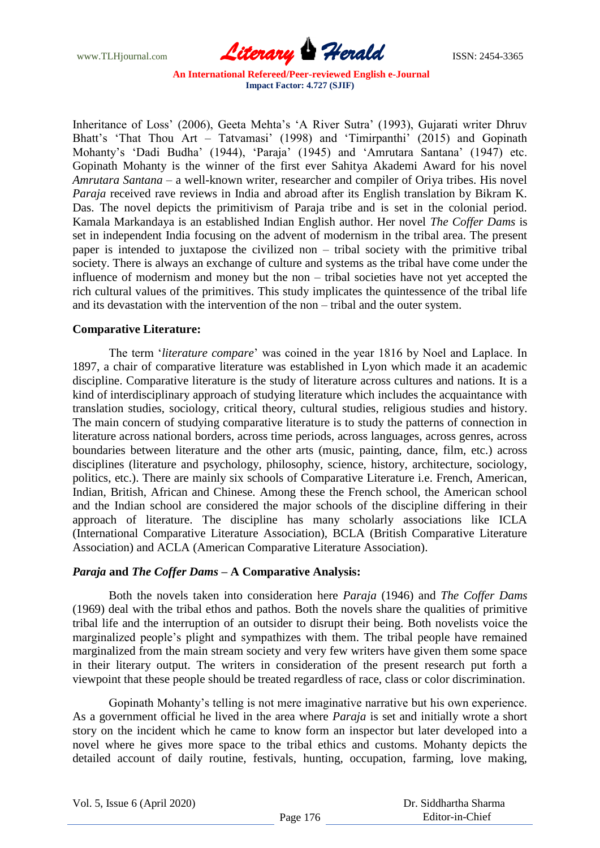www.TLHjournal.com **Literary Herald Herald ISSN: 2454-3365** 

Inheritance of Loss' (2006), Geeta Mehta's 'A River Sutra' (1993), Gujarati writer Dhruv Bhatt's 'That Thou Art – Tatvamasi' (1998) and 'Timirpanthi' (2015) and Gopinath Mohanty"s "Dadi Budha" (1944), "Paraja" (1945) and "Amrutara Santana" (1947) etc. Gopinath Mohanty is the winner of the first ever Sahitya Akademi Award for his novel *Amrutara Santana* – a well-known writer, researcher and compiler of Oriya tribes. His novel *Paraja* received rave reviews in India and abroad after its English translation by Bikram K. Das. The novel depicts the primitivism of Paraja tribe and is set in the colonial period. Kamala Markandaya is an established Indian English author. Her novel *The Coffer Dams* is set in independent India focusing on the advent of modernism in the tribal area. The present paper is intended to juxtapose the civilized non – tribal society with the primitive tribal society. There is always an exchange of culture and systems as the tribal have come under the influence of modernism and money but the non – tribal societies have not yet accepted the rich cultural values of the primitives. This study implicates the quintessence of the tribal life and its devastation with the intervention of the non – tribal and the outer system.

## **Comparative Literature:**

The term "*literature compare*" was coined in the year 1816 by Noel and Laplace. In 1897, a chair of comparative literature was established in Lyon which made it an academic discipline. Comparative literature is the study of literature across cultures and nations. It is a kind of interdisciplinary approach of studying literature which includes the acquaintance with translation studies, sociology, critical theory, cultural studies, religious studies and history. The main concern of studying comparative literature is to study the patterns of connection in literature across national borders, across time periods, across languages, across genres, across boundaries between literature and the other arts (music, painting, dance, film, etc.) across disciplines (literature and psychology, philosophy, science, history, architecture, sociology, politics, etc.). There are mainly six schools of Comparative Literature i.e. French, American, Indian, British, African and Chinese. Among these the French school, the American school and the Indian school are considered the major schools of the discipline differing in their approach of literature. The discipline has many scholarly associations like ICLA (International Comparative Literature Association), BCLA (British Comparative Literature Association) and ACLA (American Comparative Literature Association).

## *Paraja* **and** *The Coffer Dams* **– A Comparative Analysis:**

Both the novels taken into consideration here *Paraja* (1946) and *The Coffer Dams*  (1969) deal with the tribal ethos and pathos. Both the novels share the qualities of primitive tribal life and the interruption of an outsider to disrupt their being. Both novelists voice the marginalized people"s plight and sympathizes with them. The tribal people have remained marginalized from the main stream society and very few writers have given them some space in their literary output. The writers in consideration of the present research put forth a viewpoint that these people should be treated regardless of race, class or color discrimination.

Gopinath Mohanty"s telling is not mere imaginative narrative but his own experience. As a government official he lived in the area where *Paraja* is set and initially wrote a short story on the incident which he came to know form an inspector but later developed into a novel where he gives more space to the tribal ethics and customs. Mohanty depicts the detailed account of daily routine, festivals, hunting, occupation, farming, love making,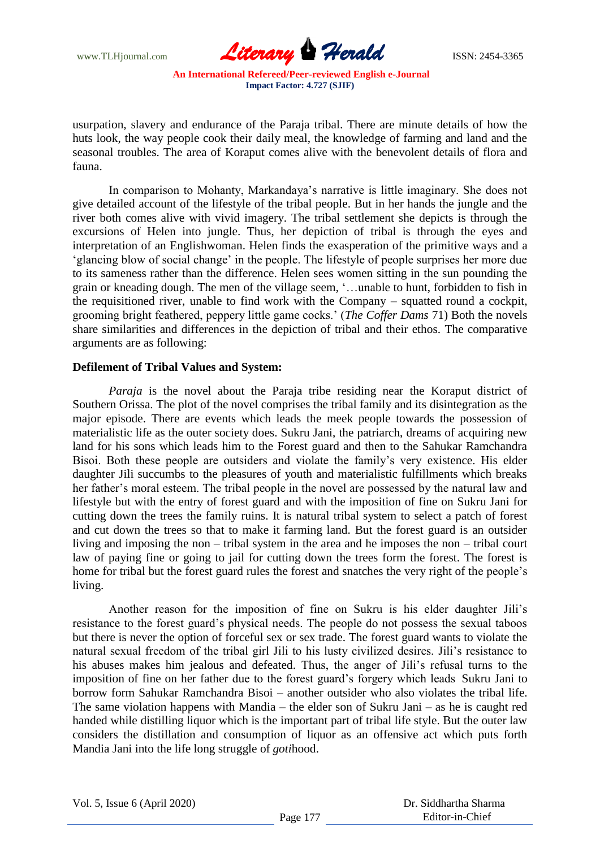www.TLHjournal.com **Literary Herald Herald ISSN: 2454-3365** 

usurpation, slavery and endurance of the Paraja tribal. There are minute details of how the huts look, the way people cook their daily meal, the knowledge of farming and land and the seasonal troubles. The area of Koraput comes alive with the benevolent details of flora and fauna.

In comparison to Mohanty, Markandaya"s narrative is little imaginary. She does not give detailed account of the lifestyle of the tribal people. But in her hands the jungle and the river both comes alive with vivid imagery. The tribal settlement she depicts is through the excursions of Helen into jungle. Thus, her depiction of tribal is through the eyes and interpretation of an Englishwoman. Helen finds the exasperation of the primitive ways and a "glancing blow of social change" in the people. The lifestyle of people surprises her more due to its sameness rather than the difference. Helen sees women sitting in the sun pounding the grain or kneading dough. The men of the village seem, "…unable to hunt, forbidden to fish in the requisitioned river, unable to find work with the Company – squatted round a cockpit, grooming bright feathered, peppery little game cocks." (*The Coffer Dams* 71) Both the novels share similarities and differences in the depiction of tribal and their ethos. The comparative arguments are as following:

### **Defilement of Tribal Values and System:**

*Paraja* is the novel about the Paraja tribe residing near the Koraput district of Southern Orissa. The plot of the novel comprises the tribal family and its disintegration as the major episode. There are events which leads the meek people towards the possession of materialistic life as the outer society does. Sukru Jani, the patriarch, dreams of acquiring new land for his sons which leads him to the Forest guard and then to the Sahukar Ramchandra Bisoi. Both these people are outsiders and violate the family"s very existence. His elder daughter Jili succumbs to the pleasures of youth and materialistic fulfillments which breaks her father's moral esteem. The tribal people in the novel are possessed by the natural law and lifestyle but with the entry of forest guard and with the imposition of fine on Sukru Jani for cutting down the trees the family ruins. It is natural tribal system to select a patch of forest and cut down the trees so that to make it farming land. But the forest guard is an outsider living and imposing the non – tribal system in the area and he imposes the non – tribal court law of paying fine or going to jail for cutting down the trees form the forest. The forest is home for tribal but the forest guard rules the forest and snatches the very right of the people"s living.

Another reason for the imposition of fine on Sukru is his elder daughter Jili"s resistance to the forest guard"s physical needs. The people do not possess the sexual taboos but there is never the option of forceful sex or sex trade. The forest guard wants to violate the natural sexual freedom of the tribal girl Jili to his lusty civilized desires. Jili"s resistance to his abuses makes him jealous and defeated. Thus, the anger of Jili"s refusal turns to the imposition of fine on her father due to the forest guard"s forgery which leads Sukru Jani to borrow form Sahukar Ramchandra Bisoi – another outsider who also violates the tribal life. The same violation happens with Mandia – the elder son of Sukru Jani – as he is caught red handed while distilling liquor which is the important part of tribal life style. But the outer law considers the distillation and consumption of liquor as an offensive act which puts forth Mandia Jani into the life long struggle of *goti*hood.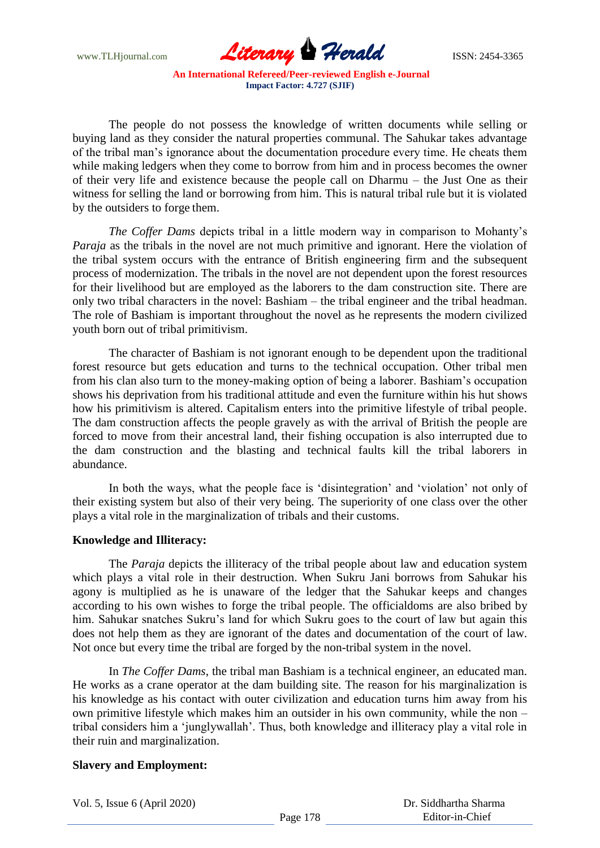www.TLHjournal.com **Literary Herald Herald ISSN: 2454-3365** 

The people do not possess the knowledge of written documents while selling or buying land as they consider the natural properties communal. The Sahukar takes advantage of the tribal man"s ignorance about the documentation procedure every time. He cheats them while making ledgers when they come to borrow from him and in process becomes the owner of their very life and existence because the people call on Dharmu – the Just One as their witness for selling the land or borrowing from him. This is natural tribal rule but it is violated by the outsiders to forge them.

*The Coffer Dams* depicts tribal in a little modern way in comparison to Mohanty's *Paraja* as the tribals in the novel are not much primitive and ignorant. Here the violation of the tribal system occurs with the entrance of British engineering firm and the subsequent process of modernization. The tribals in the novel are not dependent upon the forest resources for their livelihood but are employed as the laborers to the dam construction site. There are only two tribal characters in the novel: Bashiam – the tribal engineer and the tribal headman. The role of Bashiam is important throughout the novel as he represents the modern civilized youth born out of tribal primitivism.

The character of Bashiam is not ignorant enough to be dependent upon the traditional forest resource but gets education and turns to the technical occupation. Other tribal men from his clan also turn to the money-making option of being a laborer. Bashiam"s occupation shows his deprivation from his traditional attitude and even the furniture within his hut shows how his primitivism is altered. Capitalism enters into the primitive lifestyle of tribal people. The dam construction affects the people gravely as with the arrival of British the people are forced to move from their ancestral land, their fishing occupation is also interrupted due to the dam construction and the blasting and technical faults kill the tribal laborers in abundance.

In both the ways, what the people face is 'disintegration' and 'violation' not only of their existing system but also of their very being. The superiority of one class over the other plays a vital role in the marginalization of tribals and their customs.

#### **Knowledge and Illiteracy:**

The *Paraja* depicts the illiteracy of the tribal people about law and education system which plays a vital role in their destruction. When Sukru Jani borrows from Sahukar his agony is multiplied as he is unaware of the ledger that the Sahukar keeps and changes according to his own wishes to forge the tribal people. The officialdoms are also bribed by him. Sahukar snatches Sukru"s land for which Sukru goes to the court of law but again this does not help them as they are ignorant of the dates and documentation of the court of law. Not once but every time the tribal are forged by the non-tribal system in the novel.

In *The Coffer Dams*, the tribal man Bashiam is a technical engineer, an educated man. He works as a crane operator at the dam building site. The reason for his marginalization is his knowledge as his contact with outer civilization and education turns him away from his own primitive lifestyle which makes him an outsider in his own community, while the non – tribal considers him a "junglywallah". Thus, both knowledge and illiteracy play a vital role in their ruin and marginalization.

### **Slavery and Employment:**

Vol. 5, Issue 6 (April 2020)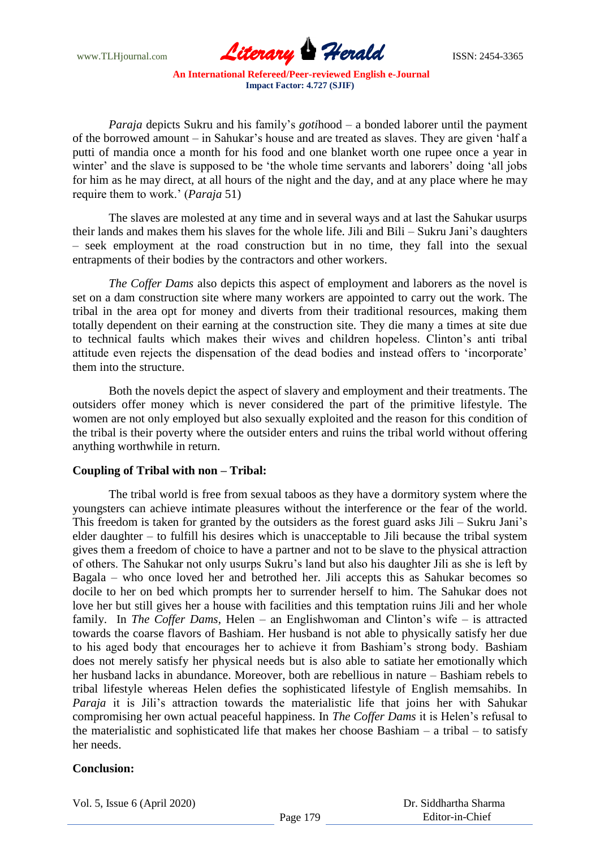www.TLHjournal.com **Literary Herald Herald ISSN: 2454-3365** 

*Paraja* depicts Sukru and his family"s *goti*hood – a bonded laborer until the payment of the borrowed amount – in Sahukar"s house and are treated as slaves. They are given "half a putti of mandia once a month for his food and one blanket worth one rupee once a year in winter' and the slave is supposed to be 'the whole time servants and laborers' doing 'all jobs for him as he may direct, at all hours of the night and the day, and at any place where he may require them to work." (*Paraja* 51)

The slaves are molested at any time and in several ways and at last the Sahukar usurps their lands and makes them his slaves for the whole life. Jili and Bili – Sukru Jani"s daughters – seek employment at the road construction but in no time, they fall into the sexual entrapments of their bodies by the contractors and other workers.

*The Coffer Dams* also depicts this aspect of employment and laborers as the novel is set on a dam construction site where many workers are appointed to carry out the work. The tribal in the area opt for money and diverts from their traditional resources, making them totally dependent on their earning at the construction site. They die many a times at site due to technical faults which makes their wives and children hopeless. Clinton"s anti tribal attitude even rejects the dispensation of the dead bodies and instead offers to "incorporate" them into the structure.

Both the novels depict the aspect of slavery and employment and their treatments. The outsiders offer money which is never considered the part of the primitive lifestyle. The women are not only employed but also sexually exploited and the reason for this condition of the tribal is their poverty where the outsider enters and ruins the tribal world without offering anything worthwhile in return.

#### **Coupling of Tribal with non – Tribal:**

The tribal world is free from sexual taboos as they have a dormitory system where the youngsters can achieve intimate pleasures without the interference or the fear of the world. This freedom is taken for granted by the outsiders as the forest guard asks Jili – Sukru Jani"s elder daughter – to fulfill his desires which is unacceptable to Jili because the tribal system gives them a freedom of choice to have a partner and not to be slave to the physical attraction of others. The Sahukar not only usurps Sukru"s land but also his daughter Jili as she is left by Bagala – who once loved her and betrothed her. Jili accepts this as Sahukar becomes so docile to her on bed which prompts her to surrender herself to him. The Sahukar does not love her but still gives her a house with facilities and this temptation ruins Jili and her whole family. In *The Coffer Dams*, Helen – an Englishwoman and Clinton's wife – is attracted towards the coarse flavors of Bashiam. Her husband is not able to physically satisfy her due to his aged body that encourages her to achieve it from Bashiam"s strong body. Bashiam does not merely satisfy her physical needs but is also able to satiate her emotionally which her husband lacks in abundance. Moreover, both are rebellious in nature – Bashiam rebels to tribal lifestyle whereas Helen defies the sophisticated lifestyle of English memsahibs. In Paraja it is Jili's attraction towards the materialistic life that joins her with Sahukar compromising her own actual peaceful happiness. In *The Coffer Dams* it is Helen"s refusal to the materialistic and sophisticated life that makes her choose Bashiam – a tribal – to satisfy her needs.

## **Conclusion:**

Vol. 5, Issue 6 (April 2020)

 Dr. Siddhartha Sharma Editor-in-Chief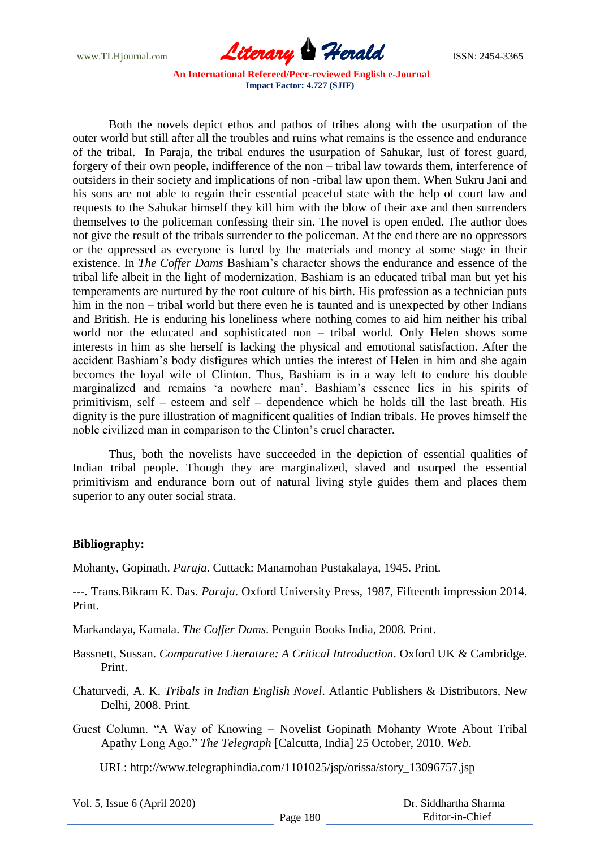www.TLHjournal.com **Literary Herald Herald ISSN: 2454-3365** 

Both the novels depict ethos and pathos of tribes along with the usurpation of the outer world but still after all the troubles and ruins what remains is the essence and endurance of the tribal. In Paraja, the tribal endures the usurpation of Sahukar, lust of forest guard, forgery of their own people, indifference of the non – tribal law towards them, interference of outsiders in their society and implications of non -tribal law upon them. When Sukru Jani and his sons are not able to regain their essential peaceful state with the help of court law and requests to the Sahukar himself they kill him with the blow of their axe and then surrenders themselves to the policeman confessing their sin. The novel is open ended. The author does not give the result of the tribals surrender to the policeman. At the end there are no oppressors or the oppressed as everyone is lured by the materials and money at some stage in their existence. In *The Coffer Dams* Bashiam"s character shows the endurance and essence of the tribal life albeit in the light of modernization. Bashiam is an educated tribal man but yet his temperaments are nurtured by the root culture of his birth. His profession as a technician puts him in the non – tribal world but there even he is taunted and is unexpected by other Indians and British. He is enduring his loneliness where nothing comes to aid him neither his tribal world nor the educated and sophisticated non – tribal world. Only Helen shows some interests in him as she herself is lacking the physical and emotional satisfaction. After the accident Bashiam"s body disfigures which unties the interest of Helen in him and she again becomes the loyal wife of Clinton. Thus, Bashiam is in a way left to endure his double marginalized and remains "a nowhere man". Bashiam"s essence lies in his spirits of primitivism, self – esteem and self – dependence which he holds till the last breath. His dignity is the pure illustration of magnificent qualities of Indian tribals. He proves himself the noble civilized man in comparison to the Clinton"s cruel character.

Thus, both the novelists have succeeded in the depiction of essential qualities of Indian tribal people. Though they are marginalized, slaved and usurped the essential primitivism and endurance born out of natural living style guides them and places them superior to any outer social strata.

### **Bibliography:**

Mohanty, Gopinath. *Paraja*. Cuttack: Manamohan Pustakalaya, 1945. Print.

*---*. Trans.Bikram K. Das. *Paraja*. Oxford University Press, 1987, Fifteenth impression 2014. Print.

Markandaya, Kamala. *The Coffer Dams*. Penguin Books India, 2008. Print.

Bassnett, Sussan. *Comparative Literature: A Critical Introduction*. Oxford UK & Cambridge. Print.

Chaturvedi, A. K. *Tribals in Indian English Novel*. Atlantic Publishers & Distributors, New Delhi, 2008. Print.

Guest Column. "A Way of Knowing – Novelist Gopinath Mohanty Wrote About Tribal Apathy Long Ago." *The Telegraph* [Calcutta, India] 25 October, 2010. *Web*.

URL: http://www.telegraphindia.com/1101025/jsp/orissa/story\_13096757.jsp

Vol. 5, Issue 6 (April 2020)

 Dr. Siddhartha Sharma Editor-in-Chief